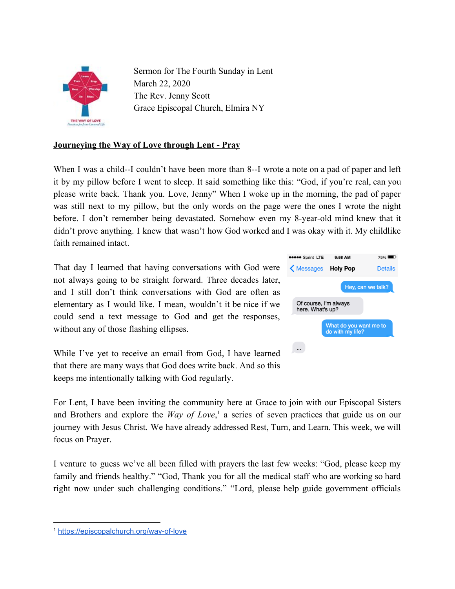

Sermon for The Fourth Sunday in Lent March 22, 2020 The Rev. Jenny Scott Grace Episcopal Church, Elmira NY

## **Journeying the Way of Love through Lent - Pray**

When I was a child--I couldn't have been more than 8--I wrote a note on a pad of paper and left it by my pillow before I went to sleep. It said something like this: "God, if you're real, can you please write back. Thank you. Love, Jenny" When I woke up in the morning, the pad of paper was still next to my pillow, but the only words on the page were the ones I wrote the night before. I don't remember being devastated. Somehow even my 8-year-old mind knew that it didn't prove anything. I knew that wasn't how God worked and I was okay with it. My childlike faith remained intact.

That day I learned that having conversations with God were not always going to be straight forward. Three decades later, and I still don't think conversations with God are often as elementary as I would like. I mean, wouldn't it be nice if we could send a text message to God and get the responses, without any of those flashing ellipses.

While I've yet to receive an email from God, I have learned that there are many ways that God does write back. And so this keeps me intentionally talking with God regularly.



For Lent, I have been inviting the community here at Grace to join with our Episcopal Sisters and Brothers and explore the *Way of Love*,<sup>1</sup> a series of seven practices that guide us on our journey with Jesus Christ. We have already addressed Rest, Turn, and Learn. This week, we will focus on Prayer.

I venture to guess we've all been filled with prayers the last few weeks: "God, please keep my family and friends healthy." "God, Thank you for all the medical staff who are working so hard right now under such challenging conditions." "Lord, please help guide government officials

<sup>1</sup> <https://episcopalchurch.org/way-of-love>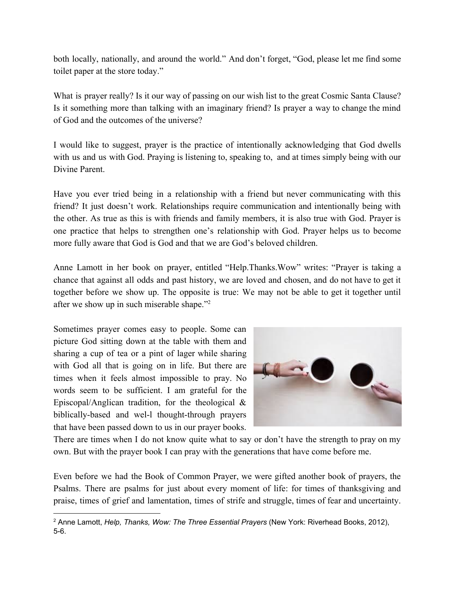both locally, nationally, and around the world." And don't forget, "God, please let me find some toilet paper at the store today."

What is prayer really? Is it our way of passing on our wish list to the great Cosmic Santa Clause? Is it something more than talking with an imaginary friend? Is prayer a way to change the mind of God and the outcomes of the universe?

I would like to suggest, prayer is the practice of intentionally acknowledging that God dwells with us and us with God. Praying is listening to, speaking to, and at times simply being with our Divine Parent.

Have you ever tried being in a relationship with a friend but never communicating with this friend? It just doesn't work. Relationships require communication and intentionally being with the other. As true as this is with friends and family members, it is also true with God. Prayer is one practice that helps to strengthen one's relationship with God. Prayer helps us to become more fully aware that God is God and that we are God's beloved children.

Anne Lamott in her book on prayer, entitled "Help.Thanks.Wow" writes: "Prayer is taking a chance that against all odds and past history, we are loved and chosen, and do not have to get it together before we show up. The opposite is true: We may not be able to get it together until after we show up in such miserable shape."<sup>2</sup>

Sometimes prayer comes easy to people. Some can picture God sitting down at the table with them and sharing a cup of tea or a pint of lager while sharing with God all that is going on in life. But there are times when it feels almost impossible to pray. No words seem to be sufficient. I am grateful for the Episcopal/Anglican tradition, for the theological  $\&$ biblically-based and wel-l thought-through prayers that have been passed down to us in our prayer books.



There are times when I do not know quite what to say or don't have the strength to pray on my own. But with the prayer book I can pray with the generations that have come before me.

Even before we had the Book of Common Prayer, we were gifted another book of prayers, the Psalms. There are psalms for just about every moment of life: for times of thanksgiving and praise, times of grief and lamentation, times of strife and struggle, times of fear and uncertainty.

<sup>2</sup> Anne Lamott, *Help, Thanks, Wow: The Three Essential Prayers* (New York: Riverhead Books, 2012), 5-6.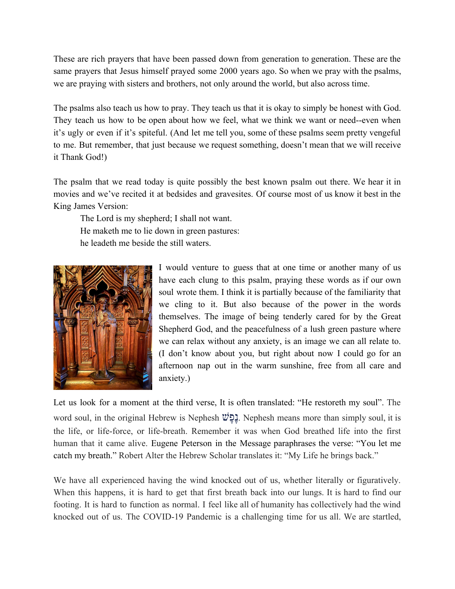These are rich prayers that have been passed down from generation to generation. These are the same prayers that Jesus himself prayed some 2000 years ago. So when we pray with the psalms, we are praying with sisters and brothers, not only around the world, but also across time.

The psalms also teach us how to pray. They teach us that it is okay to simply be honest with God. They teach us how to be open about how we feel, what we think we want or need--even when it's ugly or even if it's spiteful. (And let me tell you, some of these psalms seem pretty vengeful to me. But remember, that just because we request something, doesn't mean that we will receive it Thank God!)

The psalm that we read today is quite possibly the best known psalm out there. We hear it in movies and we've recited it at bedsides and gravesites. Of course most of us know it best in the King James Version:

The Lord is my shepherd; I shall not want. He maketh me to lie down in green pastures:

he leadeth me beside the still waters.



I would venture to guess that at one time or another many of us have each clung to this psalm, praying these words as if our own soul wrote them. I think it is partially because of the familiarity that we cling to it. But also because of the power in the words themselves. The image of being tenderly cared for by the Great Shepherd God, and the peacefulness of a lush green pasture where we can relax without any anxiety, is an image we can all relate to. (I don't know about you, but right about now I could go for an afternoon nap out in the warm sunshine, free from all care and anxiety.)

Let us look for a moment at the third verse, It is often translated: "He restoreth my soul". The word soul, in the original Hebrew is Nephesh פשֶֶׁנ. Nephesh means more than simply soul, it is the life, or life-force, or life-breath. Remember it was when God breathed life into the first human that it came alive. Eugene Peterson in the Message paraphrases the verse: "You let me catch my breath." Robert Alter the Hebrew Scholar translates it: "My Life he brings back."

We have all experienced having the wind knocked out of us, whether literally or figuratively. When this happens, it is hard to get that first breath back into our lungs. It is hard to find our footing. It is hard to function as normal. I feel like all of humanity has collectively had the wind knocked out of us. The COVID-19 Pandemic is a challenging time for us all. We are startled,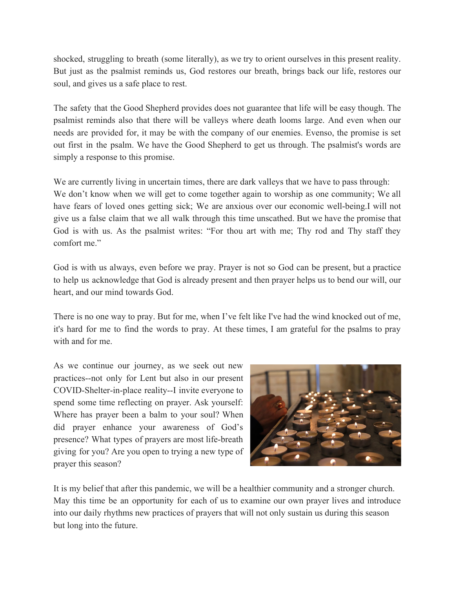shocked, struggling to breath (some literally), as we try to orient ourselves in this present reality. But just as the psalmist reminds us, God restores our breath, brings back our life, restores our soul, and gives us a safe place to rest.

The safety that the Good Shepherd provides does not guarantee that life will be easy though. The psalmist reminds also that there will be valleys where death looms large. And even when our needs are provided for, it may be with the company of our enemies. Evenso, the promise is set out first in the psalm. We have the Good Shepherd to get us through. The psalmist's words are simply a response to this promise.

We are currently living in uncertain times, there are dark valleys that we have to pass through: We don't know when we will get to come together again to worship as one community; We all have fears of loved ones getting sick; We are anxious over our economic well-being.I will not give us a false claim that we all walk through this time unscathed. But we have the promise that God is with us. As the psalmist writes: "For thou art with me; Thy rod and Thy staff they comfort me"

God is with us always, even before we pray. Prayer is not so God can be present, but a practice to help us acknowledge that God is already present and then prayer helps us to bend our will, our heart, and our mind towards God.

There is no one way to pray. But for me, when I've felt like I've had the wind knocked out of me, it's hard for me to find the words to pray. At these times, I am grateful for the psalms to pray with and for me.

As we continue our journey, as we seek out new practices--not only for Lent but also in our present COVID-Shelter-in-place reality--I invite everyone to spend some time reflecting on prayer. Ask yourself: Where has prayer been a balm to your soul? When did prayer enhance your awareness of God's presence? What types of prayers are most life-breath giving for you? Are you open to trying a new type of prayer this season?



It is my belief that after this pandemic, we will be a healthier community and a stronger church. May this time be an opportunity for each of us to examine our own prayer lives and introduce into our daily rhythms new practices of prayers that will not only sustain us during this season but long into the future.